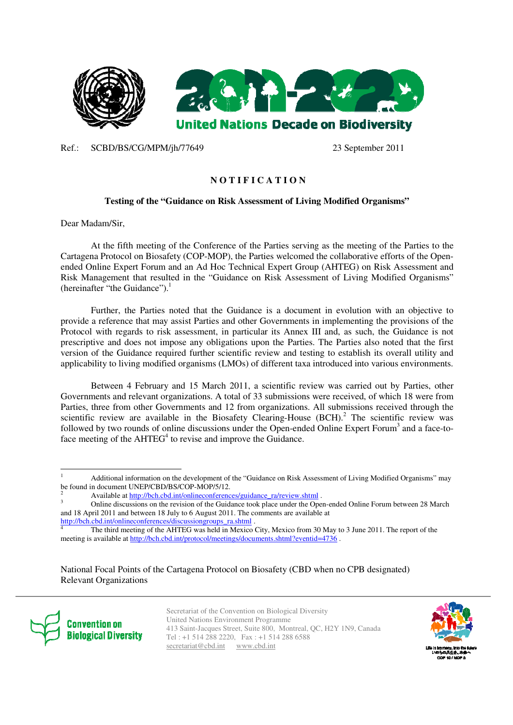

Ref.: SCBD/BS/CG/MPM/jh/77649 23 September 2011

# **N O T I F I C A T I O N**

## **Testing of the "Guidance on Risk Assessment of Living Modified Organisms"**

Dear Madam/Sir,

At the fifth meeting of the Conference of the Parties serving as the meeting of the Parties to the Cartagena Protocol on Biosafety (COP-MOP), the Parties welcomed the collaborative efforts of the Openended Online Expert Forum and an Ad Hoc Technical Expert Group (AHTEG) on Risk Assessment and Risk Management that resulted in the "Guidance on Risk Assessment of Living Modified Organisms" (hereinafter "the Guidance"). $<sup>1</sup>$ </sup>

Further, the Parties noted that the Guidance is a document in evolution with an objective to provide a reference that may assist Parties and other Governments in implementing the provisions of the Protocol with regards to risk assessment, in particular its Annex III and, as such, the Guidance is not prescriptive and does not impose any obligations upon the Parties. The Parties also noted that the first version of the Guidance required further scientific review and testing to establish its overall utility and applicability to living modified organisms (LMOs) of different taxa introduced into various environments.

Between 4 February and 15 March 2011, a scientific review was carried out by Parties, other Governments and relevant organizations. A total of 33 submissions were received, of which 18 were from Parties, three from other Governments and 12 from organizations. All submissions received through the scientific review are available in the Biosafety Clearing-House  $(BCH)<sup>2</sup>$ . The scientific review was followed by two rounds of online discussions under the Open-ended Online Expert Forum<sup>3</sup> and a face-toface meeting of the  $AHTEG<sup>4</sup>$  to revise and improve the Guidance.

http://bch.cbd.int/onlineconferences/discussiongroups\_ra.shtml .

National Focal Points of the Cartagena Protocol on Biosafety (CBD when no CPB designated) Relevant Organizations



-

Secretariat of the Convention on Biological Diversity United Nations Environment Programme 413 Saint-Jacques Street, Suite 800, Montreal, QC, H2Y 1N9, Canada Tel : +1 514 288 2220, Fax : +1 514 288 6588 secretariat@cbd.int www.cbd.int



<sup>1</sup> Additional information on the development of the "Guidance on Risk Assessment of Living Modified Organisms" may be found in document UNEP/CBD/BS/COP-MOP/5/12.

<sup>2</sup> Available at http://bch.cbd.int/onlineconferences/guidance\_ra/review.shtml . 3

Online discussions on the revision of the Guidance took place under the Open-ended Online Forum between 28 March and 18 April 2011 and between 18 July to 6 August 2011. The comments are available at

<sup>4</sup> The third meeting of the AHTEG was held in Mexico City, Mexico from 30 May to 3 June 2011. The report of the meeting is available at http://bch.cbd.int/protocol/meetings/documents.shtml?eventid=4736 .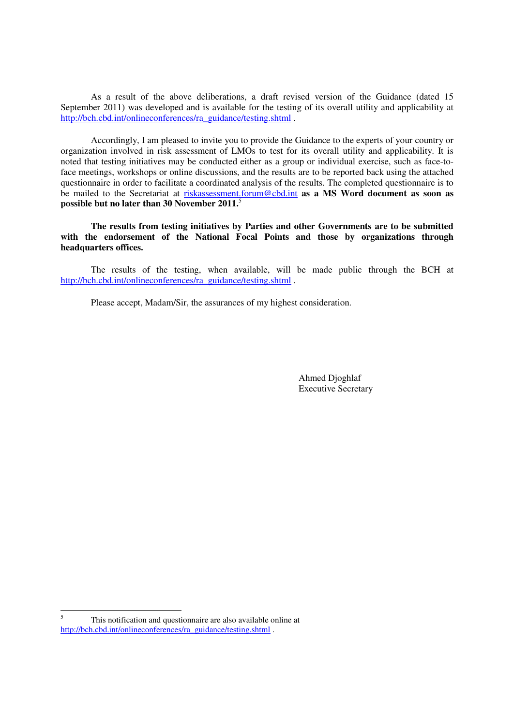As a result of the above deliberations, a draft revised version of the Guidance (dated 15 September 2011) was developed and is available for the testing of its overall utility and applicability at http://bch.cbd.int/onlineconferences/ra\_guidance/testing.shtml .

Accordingly, I am pleased to invite you to provide the Guidance to the experts of your country or organization involved in risk assessment of LMOs to test for its overall utility and applicability. It is noted that testing initiatives may be conducted either as a group or individual exercise, such as face-toface meetings, workshops or online discussions, and the results are to be reported back using the attached questionnaire in order to facilitate a coordinated analysis of the results. The completed questionnaire is to be mailed to the Secretariat at riskassessment.forum@cbd.int **as a MS Word document as soon as possible but no later than 30 November 2011.**<sup>5</sup> 

**The results from testing initiatives by Parties and other Governments are to be submitted with the endorsement of the National Focal Points and those by organizations through headquarters offices.** 

The results of the testing, when available, will be made public through the BCH at http://bch.cbd.int/onlineconferences/ra\_guidance/testing.shtml .

Please accept, Madam/Sir, the assurances of my highest consideration.

Ahmed Djoghlaf Executive Secretary

<sup>-</sup>5 This notification and questionnaire are also available online at http://bch.cbd.int/onlineconferences/ra\_guidance/testing.shtml .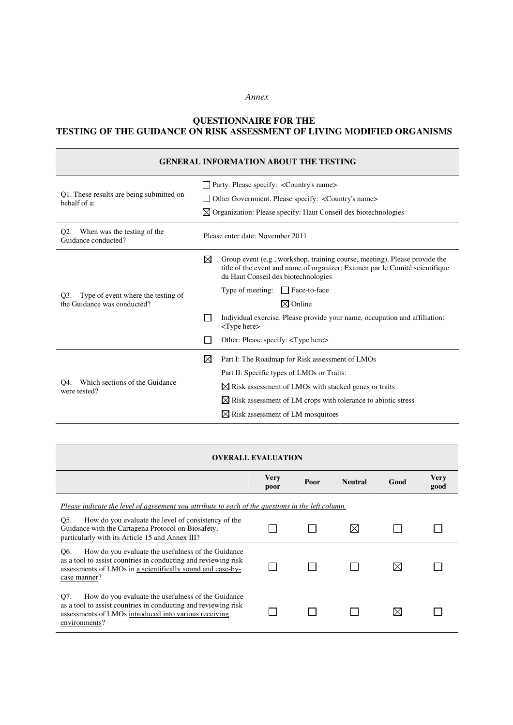### *Annex*

## **QUESTIONNAIRE FOR THE TESTING OF THE GUIDANCE ON RISK ASSESSMENT OF LIVING MODIFIED ORGANISMS**

| <b>GENERAL INFORMATION ABOUT THE TESTING</b>                           |                                                                                                                                                                                                       |  |  |
|------------------------------------------------------------------------|-------------------------------------------------------------------------------------------------------------------------------------------------------------------------------------------------------|--|--|
|                                                                        | $\Box$ Party. Please specify: < Country's name                                                                                                                                                        |  |  |
| Q1. These results are being submitted on<br>behalf of a:               | Other Government. Please specify: <country's name=""><br/>l 1</country's>                                                                                                                             |  |  |
|                                                                        | $\boxtimes$ Organization: Please specify: Haut Conseil des biotechnologies                                                                                                                            |  |  |
| When was the testing of the<br>O <sub>2</sub> .<br>Guidance conducted? | Please enter date: November 2011                                                                                                                                                                      |  |  |
| Type of event where the testing of<br>O3.                              | ⊠<br>Group event (e.g., workshop, training course, meeting). Please provide the<br>title of the event and name of organizer: Examen par le Comité scientifique<br>du Haut Conseil des biotechnologies |  |  |
|                                                                        | Type of meeting:<br>$\Box$ Face-to-face                                                                                                                                                               |  |  |
| the Guidance was conducted?                                            | $\boxtimes$ Online                                                                                                                                                                                    |  |  |
|                                                                        | Individual exercise. Please provide your name, occupation and affiliation:<br><type here=""></type>                                                                                                   |  |  |
|                                                                        | Other: Please specify: <type here=""></type>                                                                                                                                                          |  |  |
| Which sections of the Guidance<br>O4.<br>were tested?                  | $\boxtimes$<br>Part I: The Roadmap for Risk assessment of LMOs                                                                                                                                        |  |  |
|                                                                        | Part II: Specific types of LMOs or Traits:                                                                                                                                                            |  |  |
|                                                                        | $\boxtimes$ Risk assessment of LMOs with stacked genes or traits                                                                                                                                      |  |  |
|                                                                        | $\boxtimes$ Risk assessment of LM crops with tolerance to abiotic stress                                                                                                                              |  |  |
|                                                                        | $\boxtimes$ Risk assessment of LM mosquitoes                                                                                                                                                          |  |  |

| <b>OVERALL EVALUATION</b>                                                                                                                                                                                 |              |      |                |      |                     |
|-----------------------------------------------------------------------------------------------------------------------------------------------------------------------------------------------------------|--------------|------|----------------|------|---------------------|
|                                                                                                                                                                                                           | Very<br>poor | Poor | <b>Neutral</b> | Good | <b>Very</b><br>good |
| Please indicate the level of agreement you attribute to each of the questions in the left column.                                                                                                         |              |      |                |      |                     |
| O5.<br>How do you evaluate the level of consistency of the<br>Guidance with the Cartagena Protocol on Biosafety,<br>particularly with its Article 15 and Annex III?                                       |              |      |                |      |                     |
| Q6.<br>How do you evaluate the usefulness of the Guidance<br>as a tool to assist countries in conducting and reviewing risk<br>assessments of LMOs in a scientifically sound and case-by-<br>case manner? |              |      |                |      |                     |
| How do you evaluate the usefulness of the Guidance<br>O7.<br>as a tool to assist countries in conducting and reviewing risk<br>assessments of LMOs introduced into various receiving<br>environments?     |              |      |                |      |                     |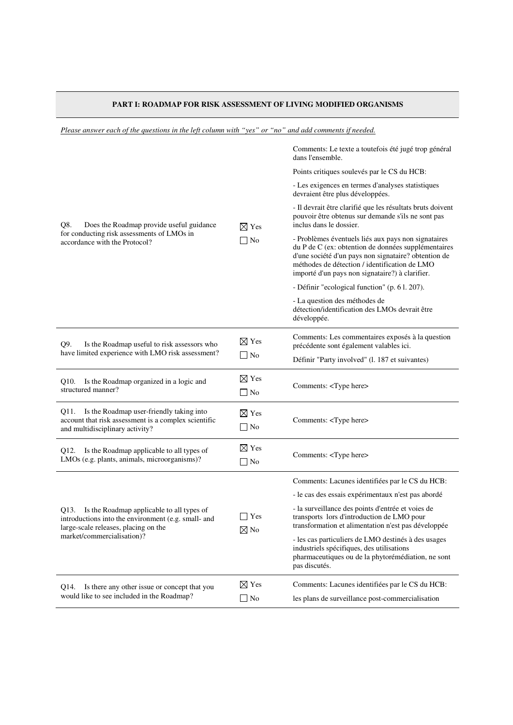# **PART I: ROADMAP FOR RISK ASSESSMENT OF LIVING MODIFIED ORGANISMS**

*Please answer each of the questions in the left column with "yes" or "no" and add comments if needed.*

|                                                                                                                                                                                |                                 | Comments: Le texte a toutefois été jugé trop général<br>dans l'ensemble.                                                                                                                                                                                               |
|--------------------------------------------------------------------------------------------------------------------------------------------------------------------------------|---------------------------------|------------------------------------------------------------------------------------------------------------------------------------------------------------------------------------------------------------------------------------------------------------------------|
|                                                                                                                                                                                |                                 | Points critiques soulevés par le CS du HCB:                                                                                                                                                                                                                            |
| Q8.<br>Does the Roadmap provide useful guidance<br>for conducting risk assessments of LMOs in<br>accordance with the Protocol?                                                 | $\boxtimes$ Yes<br>$\Box$ No    | - Les exigences en termes d'analyses statistiques<br>devraient être plus développées.                                                                                                                                                                                  |
|                                                                                                                                                                                |                                 | - Il devrait être clarifié que les résultats bruts doivent<br>pouvoir être obtenus sur demande s'ils ne sont pas<br>inclus dans le dossier.                                                                                                                            |
|                                                                                                                                                                                |                                 | - Problèmes éventuels liés aux pays non signataires<br>du P de C (ex: obtention de données supplémentaires<br>d'une société d'un pays non signataire? obtention de<br>méthodes de détection / identification de LMO<br>importé d'un pays non signataire?) à clarifier. |
|                                                                                                                                                                                |                                 | - Définir "ecological function" (p. 61. 207).                                                                                                                                                                                                                          |
|                                                                                                                                                                                |                                 | - La question des méthodes de<br>détection/identification des LMOs devrait être<br>développée.                                                                                                                                                                         |
| Q9.<br>Is the Roadmap useful to risk assessors who<br>have limited experience with LMO risk assessment?                                                                        | $\boxtimes$ Yes<br>$\Box$ No    | Comments: Les commentaires exposés à la question<br>précédente sont également valables ici.                                                                                                                                                                            |
|                                                                                                                                                                                |                                 | Définir "Party involved" (l. 187 et suivantes)                                                                                                                                                                                                                         |
| Is the Roadmap organized in a logic and<br>Q10.<br>structured manner?                                                                                                          | $\boxtimes$ Yes<br>$\Box$ No    | Comments: <type here=""></type>                                                                                                                                                                                                                                        |
| Q11. Is the Roadmap user-friendly taking into<br>account that risk assessment is a complex scientific<br>and multidisciplinary activity?                                       | $\boxtimes$ Yes<br>$\Box$ No    | Comments: <type here=""></type>                                                                                                                                                                                                                                        |
| Is the Roadmap applicable to all types of<br>Q12.<br>LMOs (e.g. plants, animals, microorganisms)?                                                                              | $\boxtimes$ Yes<br>$\Box$ No    | Comments: <type here=""></type>                                                                                                                                                                                                                                        |
|                                                                                                                                                                                |                                 | Comments: Lacunes identifiées par le CS du HCB:                                                                                                                                                                                                                        |
| Is the Roadmap applicable to all types of<br>Q13.<br>introductions into the environment (e.g. small- and<br>large-scale releases, placing on the<br>market/commercialisation)? |                                 | - le cas des essais expérimentaux n'est pas abordé                                                                                                                                                                                                                     |
|                                                                                                                                                                                | $\exists$ Yes<br>$\boxtimes$ No | - la surveillance des points d'entrée et voies de<br>transports lors d'introduction de LMO pour<br>transformation et alimentation n'est pas développée                                                                                                                 |
|                                                                                                                                                                                |                                 | - les cas particuliers de LMO destinés à des usages<br>industriels spécifiques, des utilisations<br>pharmaceutiques ou de la phytorémédiation, ne sont<br>pas discutés.                                                                                                |
| Is there any other issue or concept that you<br>Q14.                                                                                                                           | $\boxtimes$ Yes                 | Comments: Lacunes identifiées par le CS du HCB:                                                                                                                                                                                                                        |
| would like to see included in the Roadmap?                                                                                                                                     | $\Box$ No                       | les plans de surveillance post-commercialisation                                                                                                                                                                                                                       |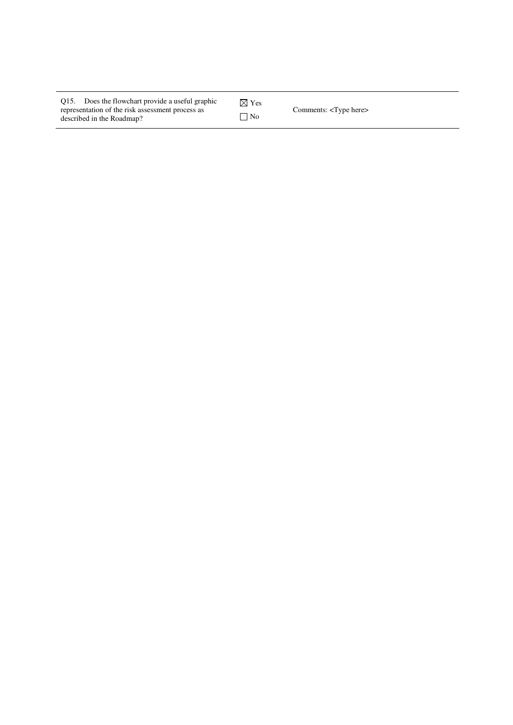| Q15. Does the flowchart provide a useful graphic                              | $\boxtimes$ Yes |                                 |
|-------------------------------------------------------------------------------|-----------------|---------------------------------|
| representation of the risk assessment process as<br>described in the Roadmap? | $\neg$ No       | Comments: <type here=""></type> |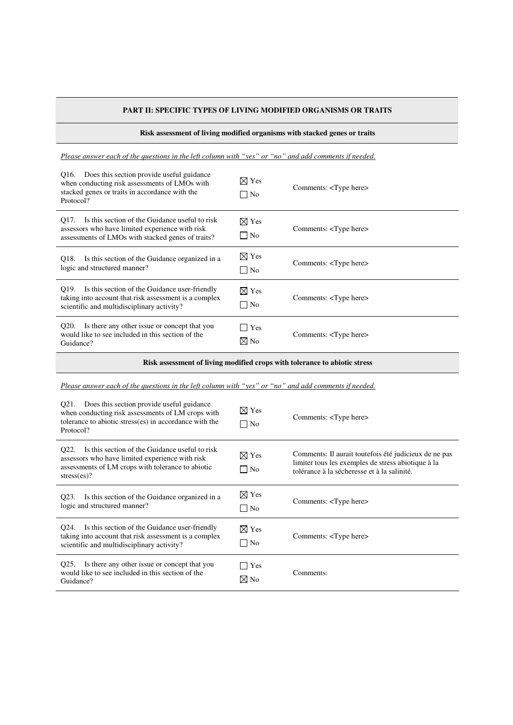## **PART II: SPECIFIC TYPES OF LIVING MODIFIED ORGANISMS OR TRAITS**

#### **Risk assessment of living modified organisms with stacked genes or traits**

*Please answer each of the questions in the left column with "yes" or "no" and add comments if needed.*

| Q16. Does this section provide useful guidance<br>when conducting risk assessments of LMOs with<br>stacked genes or traits in accordance with the<br>Protocol? | $\boxtimes$ Yes<br>$\Box$ No | Comments: <type here=""></type> |
|----------------------------------------------------------------------------------------------------------------------------------------------------------------|------------------------------|---------------------------------|
| Is this section of the Guidance useful to risk<br>O17.<br>assessors who have limited experience with risk<br>assessments of LMOs with stacked genes of traits? | $\boxtimes$ Yes<br>$\Box$ No | Comments: <type here=""></type> |
| Is this section of the Guidance organized in a<br>O18.<br>logic and structured manner?                                                                         | $\boxtimes$ Yes<br>$\Box$ No | Comments: <type here=""></type> |
| O19.<br>Is this section of the Guidance user-friendly<br>taking into account that risk assessment is a complex<br>scientific and multidisciplinary activity?   | $\boxtimes$ Yes<br>$\neg$ No | Comments: <type here=""></type> |
| Is there any other issue or concept that you<br>O <sub>20</sub> .<br>would like to see included in this section of the<br>Guidance?                            | <b>Yes</b><br>$\boxtimes$ No | Comments: <type here=""></type> |

**Risk assessment of living modified crops with tolerance to abiotic stress** 

*Please answer each of the questions in the left column with "yes" or "no" and add comments if needed.*

| Does this section provide useful guidance<br>O21.<br>when conducting risk assessments of LM crops with<br>tolerance to abiotic stress(es) in accordance with the<br>Protocol? | $\boxtimes$ Yes<br>$\Box$ No | Comments: <type here=""></type>                                                                                                                            |
|-------------------------------------------------------------------------------------------------------------------------------------------------------------------------------|------------------------------|------------------------------------------------------------------------------------------------------------------------------------------------------------|
| Is this section of the Guidance useful to risk<br>O22.<br>assessors who have limited experience with risk<br>assessments of LM crops with tolerance to abiotic<br>stress(es)? | $\boxtimes$ Yes<br>$\Box$ No | Comments: Il aurait toutefois été judicieux de ne pas<br>limiter tous les exemples de stress abiotique à la<br>tolérance à la sécheresse et à la salinité. |
| Is this section of the Guidance organized in a<br>O <sub>23</sub> .<br>logic and structured manner?                                                                           | $\boxtimes$ Yes<br>$\Box$ No | Comments: <type here=""></type>                                                                                                                            |
| Q24. Is this section of the Guidance user-friendly<br>taking into account that risk assessment is a complex<br>scientific and multidisciplinary activity?                     | $\boxtimes$ Yes<br>$\Box$ No | Comments: <type here=""></type>                                                                                                                            |
| Is there any other issue or concept that you<br>O <sub>25</sub> .<br>would like to see included in this section of the<br>Guidance?                                           | Yes<br>$\boxtimes$ No        | Comments:                                                                                                                                                  |